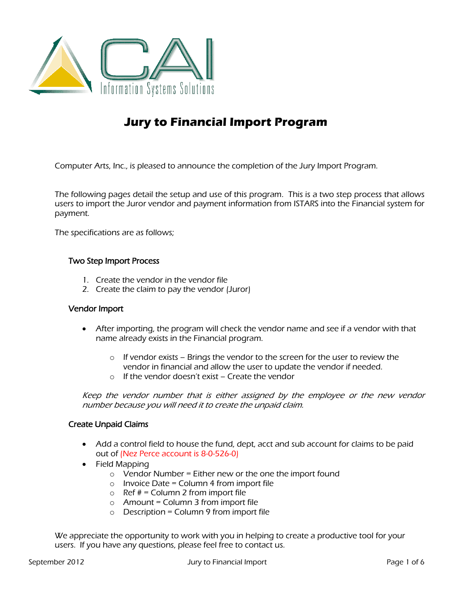

# **Jury to Financial Import Program**

Computer Arts, Inc., is pleased to announce the completion of the Jury Import Program.

The following pages detail the setup and use of this program. This is a two step process that allows users to import the Juror vendor and payment information from ISTARS into the Financial system for payment.

The specifications are as follows;

### Two Step Import Process

- 1. Create the vendor in the vendor file
- 2. Create the claim to pay the vendor (Juror)

#### Vendor Import

- After importing, the program will check the vendor name and see if a vendor with that name already exists in the Financial program.
	- $\circ$  If vendor exists Brings the vendor to the screen for the user to review the vendor in financial and allow the user to update the vendor if needed.
	- o If the vendor doesn't exist Create the vendor

Keep the vendor number that is either assigned by the employee or the new vendor number because you will need it to create the unpaid claim.

### Create Unpaid Claims

- Add a control field to house the fund, dept, acct and sub account for claims to be paid out of (Nez Perce account is 8-0-526-0)
- Field Mapping
	- o Vendor Number = Either new or the one the import found
	- $\circ$  Invoice Date = Column 4 from import file
	- $\circ$  Ref  $# =$  Column 2 from import file
	- $o$  Amount = Column 3 from import file
	- $\circ$  Description = Column 9 from import file

We appreciate the opportunity to work with you in helping to create a productive tool for your users. If you have any questions, please feel free to contact us.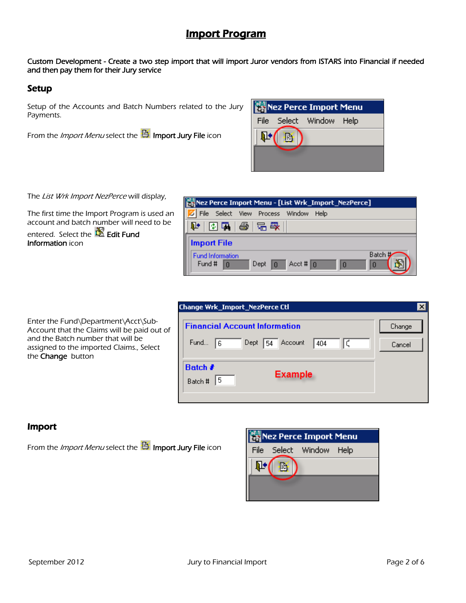# Import Program

Custom Development - Create a two step import that will import Juror vendors from ISTARS into Financial if needed and then pay them for their Jury service

### Setup

Setup of the Accounts and Batch Numbers related to the Jury Payments.

From the *Import Menu* select the **ED** Import Jury File icon

|  | Nez Perce Import Menu   |  |
|--|-------------------------|--|
|  | File Select Window Help |  |
|  |                         |  |
|  |                         |  |
|  |                         |  |

The List Wrk Import NezPerce will display,

The first time the Import Program is used an account and batch number will need to be entered. Select the  $\mathbb{\mathbb{E}}$  Edit Fund Information icon

|                                   | Nez Perce Import Menu - [List Wrk_Import_NezPerce]                |
|-----------------------------------|-------------------------------------------------------------------|
| File                              | Select View Process<br>Window<br>Help                             |
| 中   图隔   叠   宕 段                  |                                                                   |
| <b>Import File</b>                |                                                                   |
| <b>Fund Information</b><br>Fund # | Batch<br>$Acct$ # 0<br>Dept<br>$\mathbf{0}$<br>10<br>$\mathbf{I}$ |

Enter the Fund\Department\Acct\Sub-Account that the Claims will be paid out of and the Batch number that will be assigned to the imported Claims., Select the Change button

| Change Wrk_Import_NezPerce Ctl             |        |
|--------------------------------------------|--------|
| <b>Financial Account Information</b>       | Change |
| Fund<br>Dept<br>Account<br>404<br>16<br>54 | Cancel |
| Batch #<br><b>Example</b><br>5<br>Batch #  |        |
|                                            |        |

## Import

From the *Import Menu* select the **Ext** Import Jury File icon

|   | Nez Perce Import Menu   |  |
|---|-------------------------|--|
|   | File Select Window Help |  |
| 卧 |                         |  |
|   |                         |  |
|   |                         |  |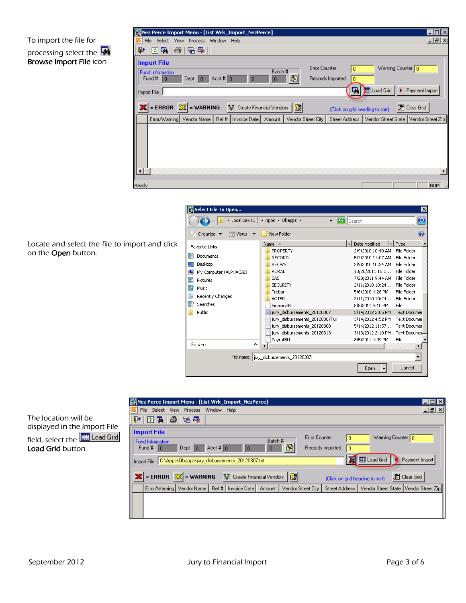### To import the file for processing select the Browse Import File icon

| Nez Perce Import Menu - [List Wrk_Import_NezPerce]                                     |                                      |                                         | $\blacksquare$ $\blacksquare$ $\times$ |
|----------------------------------------------------------------------------------------|--------------------------------------|-----------------------------------------|----------------------------------------|
| File Select View Process Window Help                                                   |                                      |                                         | <u>니레지</u>                             |
| 图刷<br>- 各   后 母  <br>$\mathbb{P}$                                                      |                                      |                                         |                                        |
| <b>Import File</b>                                                                     |                                      |                                         |                                        |
| Batch #<br><b>Fund Information</b>                                                     | <b>Error Counter</b>                 | Warning Counter 0                       |                                        |
| 阖<br>Acct # $\boxed{0}$<br>Fund # $\boxed{0}$<br>Dept $\boxed{0}$<br>$\mathbf{I}$<br>0 | Records Imported<br>0                |                                         |                                        |
| Import File                                                                            | 量                                    | Load Grid                               | Payment Import                         |
| = ERROR $ \mathbb{X} $ = WARNING<br>V Create Financial Vendors   G                     | (Click on grid heading to sort)      |                                         | Dear Grid                              |
| Vendor Name   Ref #   Invoice Date  <br>Error/Warning<br>Amount                        | Vendor Street City<br>Street Address | Vendor Street State   Vendor Street Zip |                                        |
|                                                                                        |                                      |                                         |                                        |
|                                                                                        |                                      |                                         |                                        |
| Ready                                                                                  |                                      |                                         | NUM.                                   |

Locate and select the file to import and click on the **Open** button.



| Nez Perce Import Menu - [List Wrk_Import_NezPerce]                                                                                                                                                                                                                                                                        | $\Box$ o $\mathsf{X}$ |
|---------------------------------------------------------------------------------------------------------------------------------------------------------------------------------------------------------------------------------------------------------------------------------------------------------------------------|-----------------------|
| View Process<br>Window Help<br>File Select                                                                                                                                                                                                                                                                                | <u>_ 리 ×</u>          |
| ⋫<br>图刷<br>4<br> 品 导                                                                                                                                                                                                                                                                                                      |                       |
| <b>Import File</b><br><b>Error Counter</b><br>Warning Counter 10<br>0<br>Batch #<br><b>Fund Information</b><br>圈<br>Acct # $\boxed{0}$<br>Fund #<br>Records Imported<br>$Depth$ $0$<br>$\mathbf{I}$<br>0<br>10<br><b>THE Load Grid</b><br>Payment Import<br>C:\Apps\Obapps\jury_disbursements_20120307.txt<br>Import File |                       |
| $ \mathbf{X} $ = ERROR $ \mathbb{X} $ = WARNING<br><b>园</b> Clear Grid<br>V Create Financial Vendors  <br>修<br>(Click on grid heading to sort).                                                                                                                                                                           |                       |
| Error/Warning   Vendor Name   Ref #   Invoice Date  <br>Vendor Street State   Vendor Street Zip<br>Vendor Street City<br>Street Address  <br>Amount                                                                                                                                                                       |                       |
|                                                                                                                                                                                                                                                                                                                           |                       |

The location will be displayed in the Import File field, select the **Fig. Load Grid** Load Grid button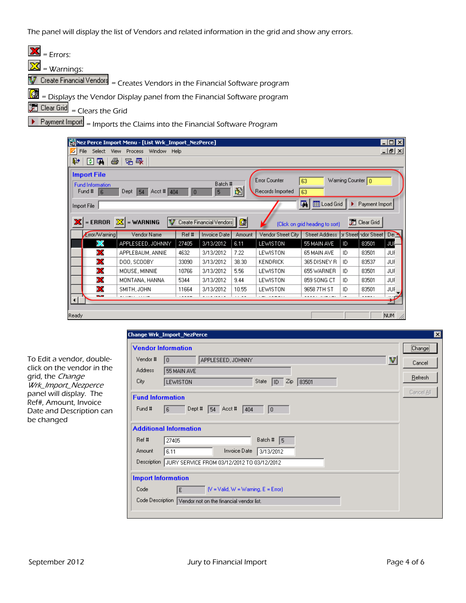The panel will display the list of Vendors and related information in the grid and show any errors.

| $\mathbf{X}$ = Errors:                                                                                    |
|-----------------------------------------------------------------------------------------------------------|
| $\frac{X}{X}$ = Warnings:                                                                                 |
| $\sqrt{\frac{1}{2} \text{ Create Financial Vendors}}$ = Creates Vendors in the Financial Software program |
| $\mathbb{R}$ = Displays the Vendor Display panel from the Financial Software program                      |
| Clear Grid<br>$=$ Clears the Grid                                                                         |
| $P$ Payment Import = Imports the Claims into the Financial Software Program                               |
|                                                                                                           |



To Edit a vendor, doubleclick on the vendor in the grid, the Change Wrk\_Import\_Nezperce panel will display. The Ref#, Amount, Invoice Date and Description can be changed

|                         | <b>Vendor Information</b>                      | [Change]   |
|-------------------------|------------------------------------------------|------------|
| Vendor #                | V<br>APPLESEED, JOHNNY<br>I٥                   | Cancel     |
| <b>Address</b>          | 55 MAIN AVE                                    |            |
| City                    | $\sqrt{10}$ Zip<br>State<br> 83501<br>LEWISTON | Refresh    |
| <b>Fund Information</b> |                                                | Cancel All |
| Fund #                  | Dept #<br>$54$ Acct#<br>6<br>404<br> 0         |            |
|                         | <b>Additional Information</b>                  |            |
| Ref #                   | Batch # $\sqrt{5}$<br>27405                    |            |
|                         |                                                |            |
| Amount                  | Invoice Date<br>6.11<br>3/13/2012              |            |
| Description             | JURY SERVICE FROM 03/12/2012 TO 03/12/2012     |            |
|                         | <b>Import Information</b>                      |            |
| Code                    | $[V = Valid, W = Warning, E = Error]$<br>l El  |            |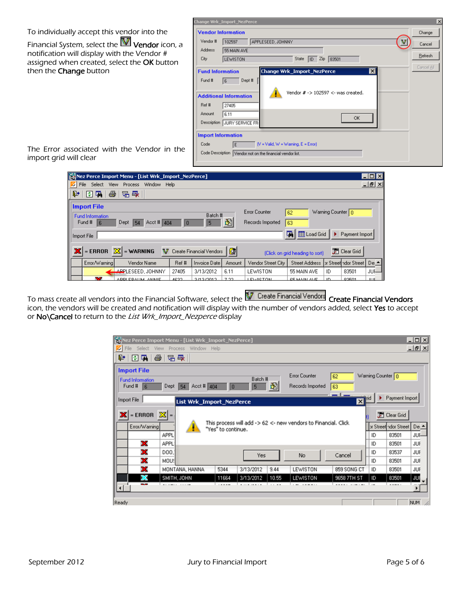### To individually accept this vendor into the

Financial System, select the  $\overline{\mathbb{V}}$  Vendor icon, a notification will display with the Vendor # assigned when created, select the OK button then the **Change** button

| <b>Vendor Information</b><br>Change<br>Vendor #<br>APPLESEED, JOHNNY<br>102597<br>Cancel<br>Address<br>55 MAIN AVE<br>Refresh<br>ID Zip 83501<br>City<br>State<br><b>LEWISTON</b><br>Cancel All<br><b>Change Wrk_Import_NezPerce</b><br>⊠<br><b>Fund Information</b><br>Dept #<br>Fund #<br>6<br>Vendor $# -$ > 102597 $\lt$ - was created.<br><b>Additional Information</b><br>Ref #<br>27405<br>Amount<br>6.11<br><b>OK</b><br>Description JURY SERVICE FR<br><b>Import Information</b><br>$N =$ Valid, $W =$ Warning, $E =$ Error)<br>Code<br>E<br>Code Description Vendor not on the financial vendor list. | Change Wrk_Import_NezPerce | $\vert x \vert$ |
|-----------------------------------------------------------------------------------------------------------------------------------------------------------------------------------------------------------------------------------------------------------------------------------------------------------------------------------------------------------------------------------------------------------------------------------------------------------------------------------------------------------------------------------------------------------------------------------------------------------------|----------------------------|-----------------|
|                                                                                                                                                                                                                                                                                                                                                                                                                                                                                                                                                                                                                 |                            |                 |
|                                                                                                                                                                                                                                                                                                                                                                                                                                                                                                                                                                                                                 |                            |                 |
|                                                                                                                                                                                                                                                                                                                                                                                                                                                                                                                                                                                                                 |                            |                 |
|                                                                                                                                                                                                                                                                                                                                                                                                                                                                                                                                                                                                                 |                            |                 |
|                                                                                                                                                                                                                                                                                                                                                                                                                                                                                                                                                                                                                 |                            |                 |
|                                                                                                                                                                                                                                                                                                                                                                                                                                                                                                                                                                                                                 |                            |                 |

The Error associated with the Vendor in the import grid will clear

| Nez Perce Import Menu - [List Wrk_Import_NezPerce]                                                |                          |        |                                   |                                                    |                     |                              | – I⊡I×         |
|---------------------------------------------------------------------------------------------------|--------------------------|--------|-----------------------------------|----------------------------------------------------|---------------------|------------------------------|----------------|
| Select<br>File<br><b>View</b><br>Window Help<br>Process                                           |                          |        |                                   |                                                    |                     |                              | $-10$ $\times$ |
| ∥ ए∗<br>量<br>唱歌<br>4<br>圈                                                                         |                          |        |                                   |                                                    |                     |                              |                |
| <b>Import File</b><br><b>Fund Information</b><br>Acct # $404$<br>Fund #<br>Dept<br>54<br><b>R</b> | Batch #<br>10<br>5       | 圖      | Error Counter<br>Records Imported | 62<br>63                                           | Warning Counter   n |                              |                |
| Import File<br>$\mathbf{X}$<br>$=$ ERROR<br>$=$ WARNING<br>v                                      | Create Financial Vendors | 國      |                                   | 国<br>Load Grid<br>(Click on grid heading to sort). |                     | Payment Import<br>Clear Grid |                |
| Error/Warning<br>Vendor Name                                                                      | Ref #<br>Invoice Date    | Amount | Vendor Street City                | <b>Street Address</b>                              |                     | br Street ndor Street        | De:            |
| $\ddot{\phantom{a}}$<br>APPLESEED.JOHNNY                                                          | 27405<br>3/13/2012       | 6.11   | LEWISTON                          | 55 MAIN AVE                                        | ID                  | 83501                        | JUF-           |
| ÷<br>ADDI EDAHMI AMMIE                                                                            | ACOD.<br>271272012       | 7.00   | <b>LEWSCTON</b>                   | CE MAIN AVE                                        | ID                  | 02501                        | 11.10          |

To mass create all vendors into the Financial Software, select the **NAT** Create Financial Vendors Create Financial Vendors icon, the vendors will be created and notification will display with the number of vendors added, select Yes to accept or No\Cancel to return to the List Wrk\_Import\_Nezperce display

| Nez Perce Import Menu - [List Wrk_Import_NezPerce]                                            |                                                                                      |                                 | $\Box$ o $\mathbf{X}$                   |
|-----------------------------------------------------------------------------------------------|--------------------------------------------------------------------------------------|---------------------------------|-----------------------------------------|
| File<br>Select<br>ØI<br>View Process Window Help                                              |                                                                                      |                                 | $-17 \times$                            |
| 4<br>母日早<br>回隔                                                                                |                                                                                      |                                 |                                         |
| <b>Import File</b>                                                                            |                                                                                      |                                 |                                         |
| <b>Fund Information</b>                                                                       | Batch #                                                                              | <b>Error Counter</b><br>62      | Warning Counter 0                       |
| Acct # $404$<br>Dept<br>Fund #<br>$\overline{6}$<br>54                                        | 阖<br> 0 <br>5                                                                        | Records Imported<br>63          |                                         |
| Import File                                                                                   |                                                                                      | pon 1 mm.                       | Payment Import<br>Irid                  |
| List Wrk_Import_NezPerce                                                                      |                                                                                      | 図                               |                                         |
| $=$ ERROR $\sqrt{25}$ =<br>xı                                                                 |                                                                                      |                                 | Clear Grid                              |
| Error/Warning                                                                                 | This process will add -> 62 <- new vendors to Financial. Click<br>"Yes" to continue. |                                 | or Street ndor Street<br>De: ▲          |
| APPL                                                                                          |                                                                                      |                                 | ID<br>83501<br>JUF-                     |
| x<br>APPL                                                                                     |                                                                                      |                                 | ID<br>83501<br>JUF                      |
| х<br>DO0.                                                                                     | Yes                                                                                  | Cancel<br>No                    | 83537<br><b>JUF</b><br>ID               |
| х<br>MOU!                                                                                     |                                                                                      |                                 | ID<br>83501<br>JUF                      |
| х<br>MONTANA, HANNA                                                                           | 5344<br>3/13/2012<br>9.44                                                            | 859 SONG CT<br>LEWISTON         | 83501<br>JUF<br>ID                      |
| X<br>SMITH, JOHN                                                                              | 3/13/2012<br>11664<br>10.55                                                          | LEWISTON<br>9658 7TH ST         | JUF<br>83501<br>ID                      |
| $\overline{\phantom{a}}$<br><b><i><u>ALCOHOL: U.S.A.LOW</u></i></b><br>$\left  \cdot \right $ | <b>ALCOHOL: 1979</b><br>                                                             | <b>CONTRACTOR</b><br>$\sim$ $-$ | .<br><br>ومبدر<br>$\blacktriangleright$ |
|                                                                                               |                                                                                      |                                 |                                         |
| Ready                                                                                         |                                                                                      |                                 | <b>NUM</b>                              |